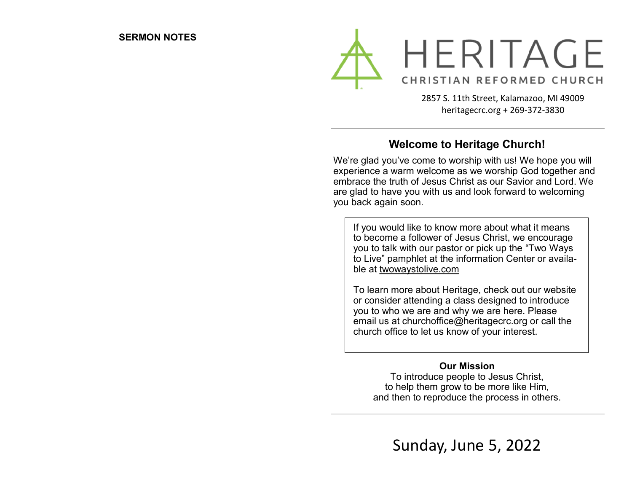

2857 S. 11th Street, Kalamazoo, MI 49009 heritagecrc.org + 269-372-3830

#### **Welcome to Heritage Church!**

We're glad you've come to worship with us! We hope you will experience a warm welcome as we worship God together and embrace the truth of Jesus Christ as our Savior and Lord. We are glad to have you with us and look forward to welcoming you back again soon.

If you would like to know more about what it means to become a follower of Jesus Christ, we encourage you to talk with our pastor or pick up the "Two Ways to Live" pamphlet at the information Center or available at twowaystolive.com

To learn more about Heritage, check out our website or consider attending a class designed to introduce you to who we are and why we are here. Please email us at churchoffice@heritagecrc.org or call the church office to let us know of your interest.

#### **Our Mission**

To introduce people to Jesus Christ, to help them grow to be more like Him, and then to reproduce the process in others.

Sunday, June 5, 2022